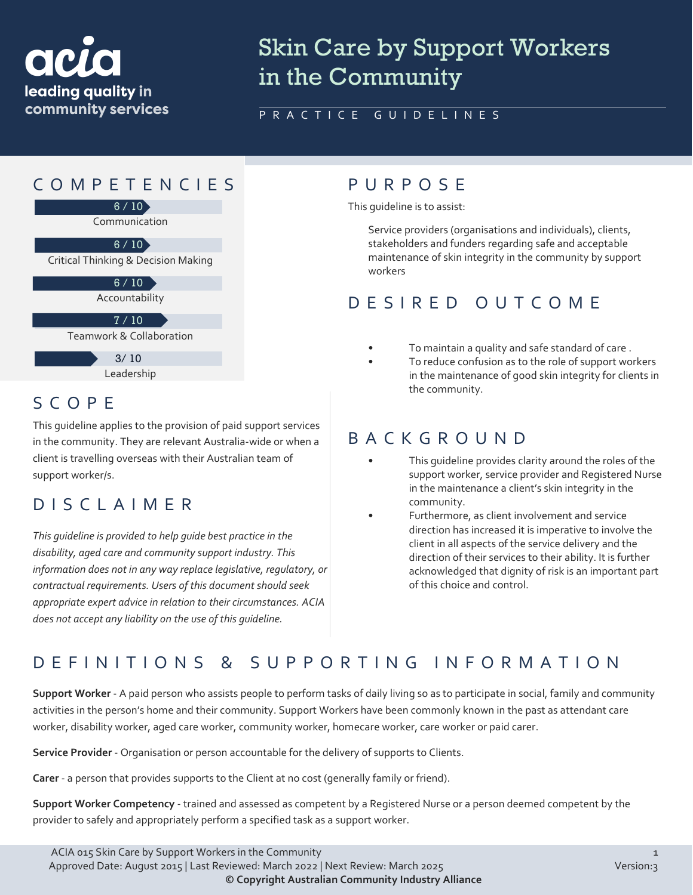

# Skin Care by Support Workers in the Community

#### PRACTICE GUIDELINES

## COMPETENCIES PURPOS E



Leadership

### SCOPE

This guideline applies to the provision of paid support services in the community. They are relevant Australia-wide or when a client is travelling overseas with their Australian team of support worker/s.

## DISCLAIMER

*This guideline is provided to help guide best practice in the disability, aged care and community support industry. This information does not in any way replace legislative, regulatory, or contractual requirements. Users of this document should seek appropriate expert advice in relation to their circumstances. ACIA does not accept any liability on the use of this guideline.*

This guideline is to assist:

Service providers (organisations and individuals), clients, stakeholders and funders regarding safe and acceptable maintenance of skin integrity in the community by support workers

## DESIRED OUTCOME

- To maintain a quality and safe standard of care.
	- To reduce confusion as to the role of support workers in the maintenance of good skin integrity for clients in the community.

#### BACKGROUND

- This quideline provides clarity around the roles of the support worker, service provider and Registered Nurse in the maintenance a client's skin integrity in the community.
- Furthermore, as client involvement and service direction has increased it is imperative to involve the client in all aspects of the service delivery and the direction of their services to their ability. It is further acknowledged that dignity of risk is an important part of this choice and control.

### DEFINITIONS & SUPPORTING INFORMATIO N

**Support Worker** - A paid person who assists people to perform tasks of daily living so as to participate in social, family and community activities in the person's home and their community. Support Workers have been commonly known in the past as attendant care worker, disability worker, aged care worker, community worker, homecare worker, care worker or paid carer.

**Service Provider** - Organisation or person accountable for the delivery of supports to Clients.

**Carer** - a person that provides supports to the Client at no cost (generally family or friend).

**Support Worker Competency** - trained and assessed as competent by a Registered Nurse or a person deemed competent by the provider to safely and appropriately perform a specified task as a support worker.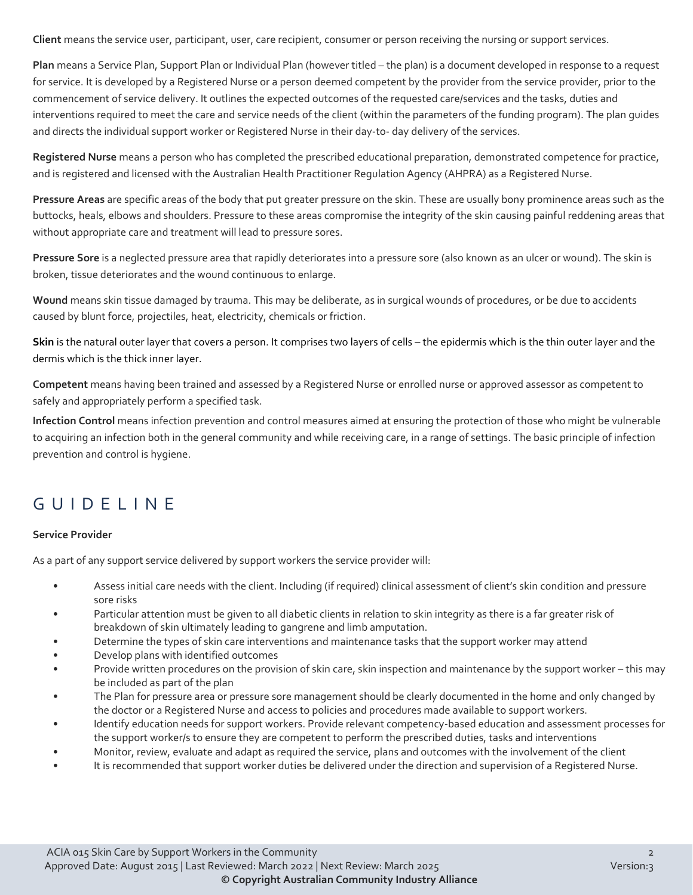**Client** means the service user, participant, user, care recipient, consumer or person receiving the nursing or support services.

**Plan** means a Service Plan, Support Plan or Individual Plan (however titled – the plan) is a document developed in response to a request for service. It is developed by a Registered Nurse or a person deemed competent by the provider from the service provider, prior to the commencement of service delivery. It outlines the expected outcomes of the requested care/services and the tasks, duties and interventions required to meet the care and service needs of the client (within the parameters of the funding program). The plan guides and directs the individual support worker or Registered Nurse in their day-to- day delivery of the services.

**Registered Nurse** means a person who has completed the prescribed educational preparation, demonstrated competence for practice, and is registered and licensed with the Australian Health Practitioner Regulation Agency (AHPRA) as a Registered Nurse.

**Pressure Areas** are specific areas of the body that put greater pressure on the skin. These are usually bony prominence areas such as the buttocks, heals, elbows and shoulders. Pressure to these areas compromise the integrity of the skin causing painful reddening areas that without appropriate care and treatment will lead to pressure sores.

**Pressure Sore** is a neglected pressure area that rapidly deteriorates into a pressure sore (also known as an ulcer or wound). The skin is broken, tissue deteriorates and the wound continuous to enlarge.

**Wound** means skin tissue damaged by trauma. This may be deliberate, as in surgical wounds of procedures, or be due to accidents caused by blunt force, projectiles, heat, electricity, chemicals or friction.

**Skin** is the natural outer layer that covers a person. It comprises two layers of cells – the epidermis which is the thin outer layer and the dermis which is the thick inner layer.

**Competent** means having been trained and assessed by a Registered Nurse or enrolled nurse or approved assessor as competent to safely and appropriately perform a specified task.

**Infection Control** means infection prevention and control measures aimed at ensuring the protection of those who might be vulnerable to acquiring an infection both in the general community and while receiving care, in a range of settings. The basic principle of infection prevention and control is hygiene.

## GUIDELINE

#### **Service Provider**

As a part of any support service delivered by support workers the service provider will:

- Assess initial care needs with the client. Including (if required) clinical assessment of client's skin condition and pressure sore risks
- Particular attention must be given to all diabetic clients in relation to skin integrity as there is a far greater risk of breakdown of skin ultimately leading to gangrene and limb amputation.
- Determine the types of skin care interventions and maintenance tasks that the support worker may attend
- Develop plans with identified outcomes
- Provide written procedures on the provision of skin care, skin inspection and maintenance by the support worker this may be included as part of the plan
- The Plan for pressure area or pressure sore management should be clearly documented in the home and only changed by the doctor or a Registered Nurse and access to policies and procedures made available to support workers.
- Identify education needs for support workers. Provide relevant competency-based education and assessment processes for the support worker/s to ensure they are competent to perform the prescribed duties, tasks and interventions
- Monitor, review, evaluate and adapt as required the service, plans and outcomes with the involvement of the client
- It is recommended that support worker duties be delivered under the direction and supervision of a Registered Nurse.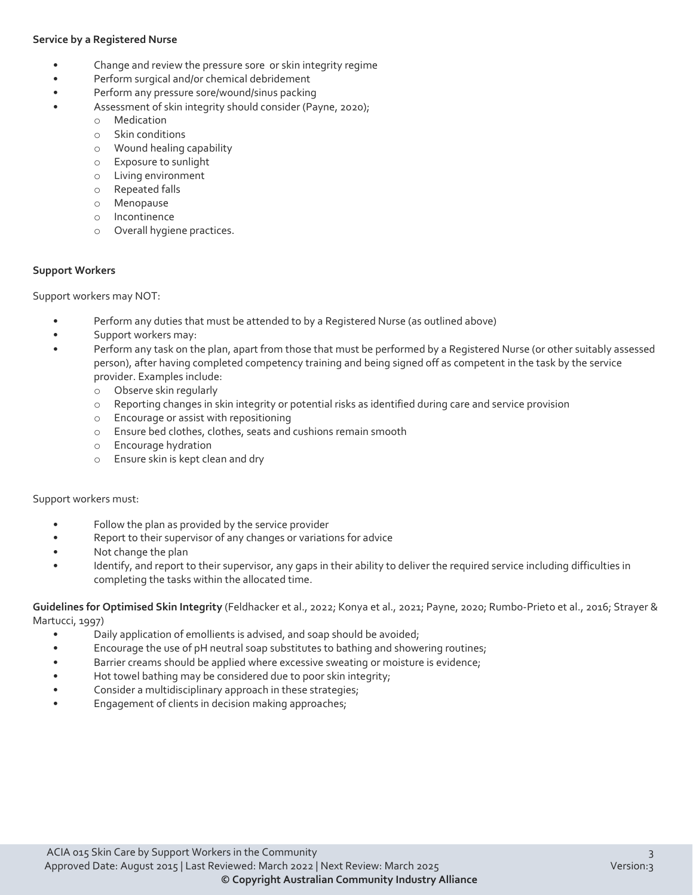#### **Service by a Registered Nurse**

- Change and review the pressure sore or skin integrity regime
- Perform surgical and/or chemical debridement
- Perform any pressure sore/wound/sinus packing
	- Assessment of skin integrity should consider (Payne, 2020);
		- o Medication
			- o Skin conditions
			- o Wound healing capability
			- o Exposure to sunlight
			- o Living environment
			- o Repeated falls
			- o Menopause
			- o Incontinence
			- o Overall hygiene practices.

#### **Support Workers**

Support workers may NOT:

- Perform any duties that must be attended to by a Registered Nurse (as outlined above)
- Support workers may:
- Perform any task on the plan, apart from those that must be performed by a Registered Nurse (or other suitably assessed person), after having completed competency training and being signed off as competent in the task by the service provider. Examples include:
	- o Observe skin regularly
	- o Reporting changes in skin integrity or potential risks as identified during care and service provision
	- o Encourage or assist with repositioning
	- o Ensure bed clothes, clothes, seats and cushions remain smooth
	- $\circ$  Encourage hydration<br> $\circ$  Ensure skin is kept cle
	- Ensure skin is kept clean and dry

#### Support workers must:

- Follow the plan as provided by the service provider
- Report to their supervisor of any changes or variations for advice
- Not change the plan
- Identify, and report to their supervisor, any gaps in their ability to deliver the required service including difficulties in completing the tasks within the allocated time.

**Guidelines for Optimised Skin Integrity** (Feldhacker et al., 2022; Konya et al., 2021; Payne, 2020; Rumbo-Prieto et al., 2016; Strayer & Martucci, 1997)

- Daily application of emollients is advised, and soap should be avoided;
- Encourage the use of pH neutral soap substitutes to bathing and showering routines;
- Barrier creams should be applied where excessive sweating or moisture is evidence;
- Hot towel bathing may be considered due to poor skin integrity;
- Consider a multidisciplinary approach in these strategies;
- Engagement of clients in decision making approaches;